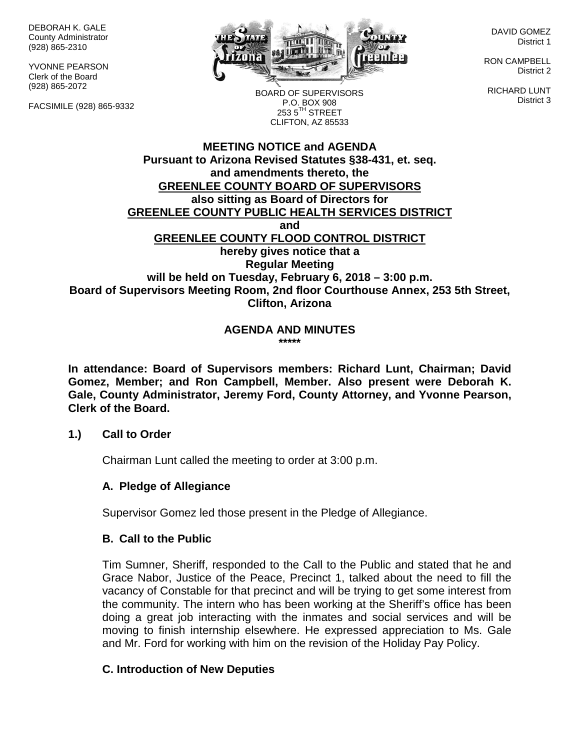DEBORAH K. GALE County Administrator (928) 865-2310

YVONNE PEARSON Clerk of the Board (928) 865-2072

FACSIMILE (928) 865-9332



DAVID GOMEZ District 1

RON CAMPBELL District 2

RICHARD LUNT District 3

BOARD OF SUPERVISORS P.O. BOX 908  $253.5$ <sup>TH</sup> STREET CLIFTON, AZ 85533

### **MEETING NOTICE and AGENDA Pursuant to Arizona Revised Statutes §38-431, et. seq. and amendments thereto, the GREENLEE COUNTY BOARD OF SUPERVISORS also sitting as Board of Directors for GREENLEE COUNTY PUBLIC HEALTH SERVICES DISTRICT and GREENLEE COUNTY FLOOD CONTROL DISTRICT hereby gives notice that a Regular Meeting will be held on Tuesday, February 6, 2018 – 3:00 p.m. Board of Supervisors Meeting Room, 2nd floor Courthouse Annex, 253 5th Street, Clifton, Arizona**

**AGENDA AND MINUTES \*\*\*\*\***

**In attendance: Board of Supervisors members: Richard Lunt, Chairman; David Gomez, Member; and Ron Campbell, Member. Also present were Deborah K. Gale, County Administrator, Jeremy Ford, County Attorney, and Yvonne Pearson, Clerk of the Board.**

#### **1.) Call to Order**

Chairman Lunt called the meeting to order at 3:00 p.m.

### **A. Pledge of Allegiance**

Supervisor Gomez led those present in the Pledge of Allegiance.

### **B. Call to the Public**

Tim Sumner, Sheriff, responded to the Call to the Public and stated that he and Grace Nabor, Justice of the Peace, Precinct 1, talked about the need to fill the vacancy of Constable for that precinct and will be trying to get some interest from the community. The intern who has been working at the Sheriff's office has been doing a great job interacting with the inmates and social services and will be moving to finish internship elsewhere. He expressed appreciation to Ms. Gale and Mr. Ford for working with him on the revision of the Holiday Pay Policy.

### **C. Introduction of New Deputies**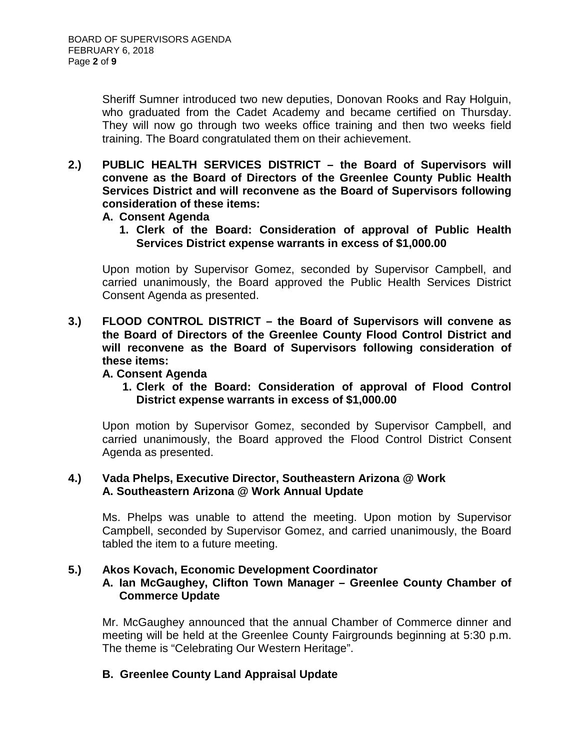Sheriff Sumner introduced two new deputies, Donovan Rooks and Ray Holguin, who graduated from the Cadet Academy and became certified on Thursday. They will now go through two weeks office training and then two weeks field training. The Board congratulated them on their achievement.

**2.) PUBLIC HEALTH SERVICES DISTRICT – the Board of Supervisors will convene as the Board of Directors of the Greenlee County Public Health Services District and will reconvene as the Board of Supervisors following consideration of these items:**

#### **A. Consent Agenda**

**1. Clerk of the Board: Consideration of approval of Public Health Services District expense warrants in excess of \$1,000.00**

Upon motion by Supervisor Gomez, seconded by Supervisor Campbell, and carried unanimously, the Board approved the Public Health Services District Consent Agenda as presented.

**3.) FLOOD CONTROL DISTRICT – the Board of Supervisors will convene as the Board of Directors of the Greenlee County Flood Control District and will reconvene as the Board of Supervisors following consideration of these items:**

### **A. Consent Agenda**

**1. Clerk of the Board: Consideration of approval of Flood Control District expense warrants in excess of \$1,000.00** 

Upon motion by Supervisor Gomez, seconded by Supervisor Campbell, and carried unanimously, the Board approved the Flood Control District Consent Agenda as presented.

### **4.) Vada Phelps, Executive Director, Southeastern Arizona @ Work A. Southeastern Arizona @ Work Annual Update**

Ms. Phelps was unable to attend the meeting. Upon motion by Supervisor Campbell, seconded by Supervisor Gomez, and carried unanimously, the Board tabled the item to a future meeting.

### **5.) Akos Kovach, Economic Development Coordinator**

### **A. Ian McGaughey, Clifton Town Manager – Greenlee County Chamber of Commerce Update**

Mr. McGaughey announced that the annual Chamber of Commerce dinner and meeting will be held at the Greenlee County Fairgrounds beginning at 5:30 p.m. The theme is "Celebrating Our Western Heritage".

### **B. Greenlee County Land Appraisal Update**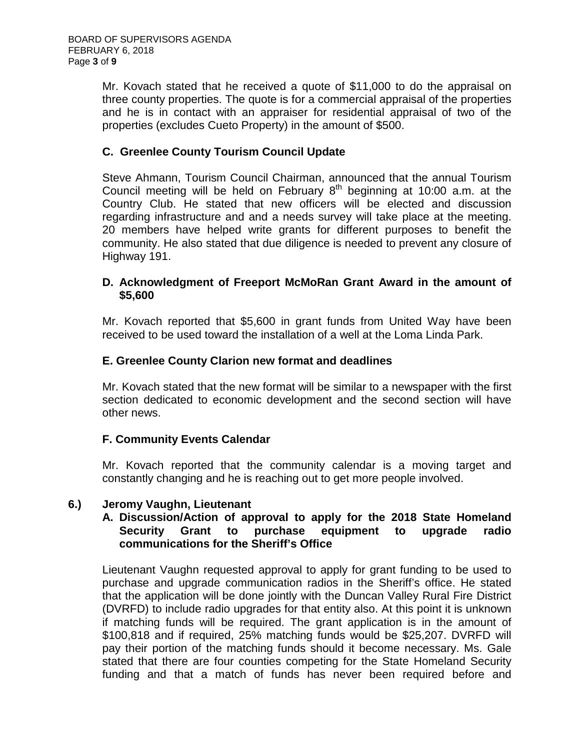Mr. Kovach stated that he received a quote of \$11,000 to do the appraisal on three county properties. The quote is for a commercial appraisal of the properties and he is in contact with an appraiser for residential appraisal of two of the properties (excludes Cueto Property) in the amount of \$500.

# **C. Greenlee County Tourism Council Update**

Steve Ahmann, Tourism Council Chairman, announced that the annual Tourism Council meeting will be held on February  $8<sup>th</sup>$  beginning at 10:00 a.m. at the Country Club. He stated that new officers will be elected and discussion regarding infrastructure and and a needs survey will take place at the meeting. 20 members have helped write grants for different purposes to benefit the community. He also stated that due diligence is needed to prevent any closure of Highway 191.

### **D. Acknowledgment of Freeport McMoRan Grant Award in the amount of \$5,600**

Mr. Kovach reported that \$5,600 in grant funds from United Way have been received to be used toward the installation of a well at the Loma Linda Park.

### **E. Greenlee County Clarion new format and deadlines**

Mr. Kovach stated that the new format will be similar to a newspaper with the first section dedicated to economic development and the second section will have other news.

### **F. Community Events Calendar**

Mr. Kovach reported that the community calendar is a moving target and constantly changing and he is reaching out to get more people involved.

### **6.) Jeromy Vaughn, Lieutenant**

### **A. Discussion/Action of approval to apply for the 2018 State Homeland Security Grant to purchase equipment to upgrade radio communications for the Sheriff's Office**

Lieutenant Vaughn requested approval to apply for grant funding to be used to purchase and upgrade communication radios in the Sheriff's office. He stated that the application will be done jointly with the Duncan Valley Rural Fire District (DVRFD) to include radio upgrades for that entity also. At this point it is unknown if matching funds will be required. The grant application is in the amount of \$100,818 and if required, 25% matching funds would be \$25,207. DVRFD will pay their portion of the matching funds should it become necessary. Ms. Gale stated that there are four counties competing for the State Homeland Security funding and that a match of funds has never been required before and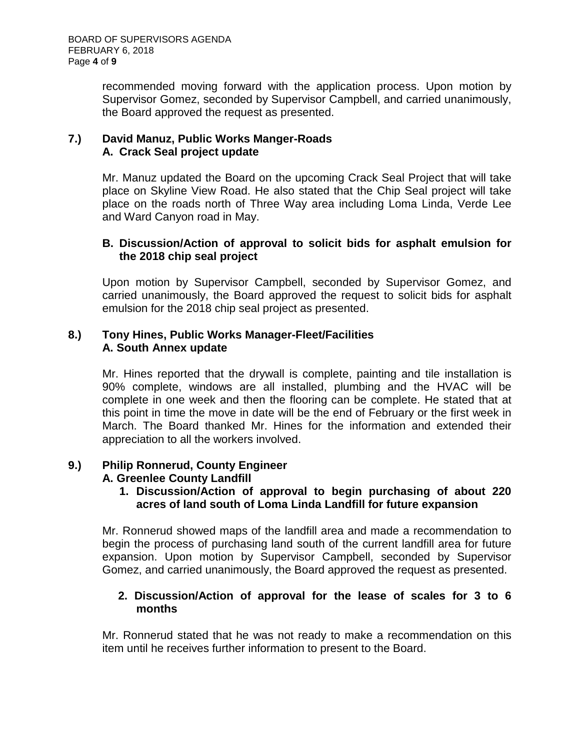recommended moving forward with the application process. Upon motion by Supervisor Gomez, seconded by Supervisor Campbell, and carried unanimously, the Board approved the request as presented.

### **7.) David Manuz, Public Works Manger-Roads A. Crack Seal project update**

Mr. Manuz updated the Board on the upcoming Crack Seal Project that will take place on Skyline View Road. He also stated that the Chip Seal project will take place on the roads north of Three Way area including Loma Linda, Verde Lee and Ward Canyon road in May.

### **B. Discussion/Action of approval to solicit bids for asphalt emulsion for the 2018 chip seal project**

Upon motion by Supervisor Campbell, seconded by Supervisor Gomez, and carried unanimously, the Board approved the request to solicit bids for asphalt emulsion for the 2018 chip seal project as presented.

### **8.) Tony Hines, Public Works Manager-Fleet/Facilities A. South Annex update**

Mr. Hines reported that the drywall is complete, painting and tile installation is 90% complete, windows are all installed, plumbing and the HVAC will be complete in one week and then the flooring can be complete. He stated that at this point in time the move in date will be the end of February or the first week in March. The Board thanked Mr. Hines for the information and extended their appreciation to all the workers involved.

# **9.) Philip Ronnerud, County Engineer**

### **A. Greenlee County Landfill**

**1. Discussion/Action of approval to begin purchasing of about 220 acres of land south of Loma Linda Landfill for future expansion**

Mr. Ronnerud showed maps of the landfill area and made a recommendation to begin the process of purchasing land south of the current landfill area for future expansion. Upon motion by Supervisor Campbell, seconded by Supervisor Gomez, and carried unanimously, the Board approved the request as presented.

### **2. Discussion/Action of approval for the lease of scales for 3 to 6 months**

Mr. Ronnerud stated that he was not ready to make a recommendation on this item until he receives further information to present to the Board.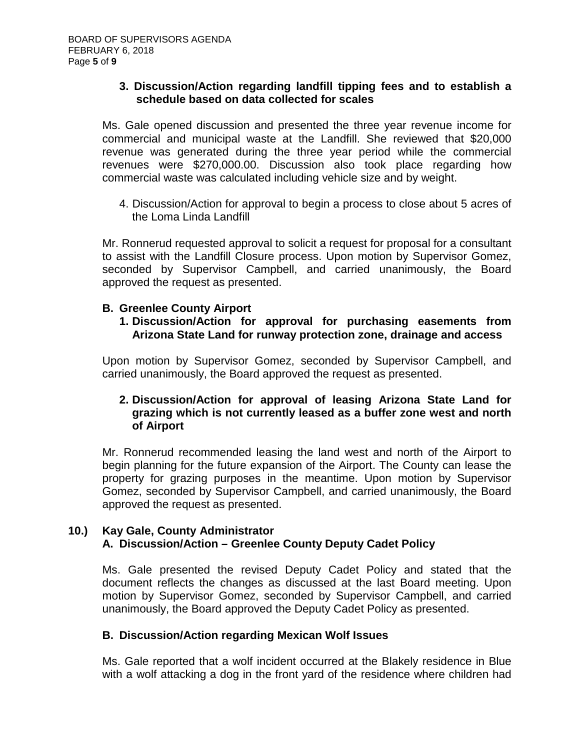#### **3. Discussion/Action regarding landfill tipping fees and to establish a schedule based on data collected for scales**

Ms. Gale opened discussion and presented the three year revenue income for commercial and municipal waste at the Landfill. She reviewed that \$20,000 revenue was generated during the three year period while the commercial revenues were \$270,000.00. Discussion also took place regarding how commercial waste was calculated including vehicle size and by weight.

4. Discussion/Action for approval to begin a process to close about 5 acres of the Loma Linda Landfill

Mr. Ronnerud requested approval to solicit a request for proposal for a consultant to assist with the Landfill Closure process. Upon motion by Supervisor Gomez, seconded by Supervisor Campbell, and carried unanimously, the Board approved the request as presented.

### **B. Greenlee County Airport**

**1. Discussion/Action for approval for purchasing easements from Arizona State Land for runway protection zone, drainage and access**

Upon motion by Supervisor Gomez, seconded by Supervisor Campbell, and carried unanimously, the Board approved the request as presented.

### **2. Discussion/Action for approval of leasing Arizona State Land for grazing which is not currently leased as a buffer zone west and north of Airport**

Mr. Ronnerud recommended leasing the land west and north of the Airport to begin planning for the future expansion of the Airport. The County can lease the property for grazing purposes in the meantime. Upon motion by Supervisor Gomez, seconded by Supervisor Campbell, and carried unanimously, the Board approved the request as presented.

### **10.) Kay Gale, County Administrator A. Discussion/Action – Greenlee County Deputy Cadet Policy**

Ms. Gale presented the revised Deputy Cadet Policy and stated that the document reflects the changes as discussed at the last Board meeting. Upon motion by Supervisor Gomez, seconded by Supervisor Campbell, and carried unanimously, the Board approved the Deputy Cadet Policy as presented.

### **B. Discussion/Action regarding Mexican Wolf Issues**

Ms. Gale reported that a wolf incident occurred at the Blakely residence in Blue with a wolf attacking a dog in the front yard of the residence where children had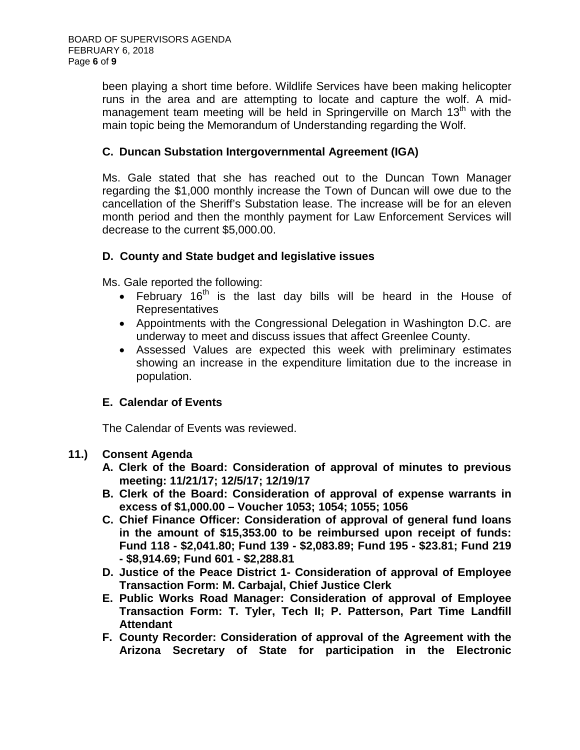been playing a short time before. Wildlife Services have been making helicopter runs in the area and are attempting to locate and capture the wolf. A midmanagement team meeting will be held in Springerville on March  $13<sup>th</sup>$  with the main topic being the Memorandum of Understanding regarding the Wolf.

### **C. Duncan Substation Intergovernmental Agreement (IGA)**

Ms. Gale stated that she has reached out to the Duncan Town Manager regarding the \$1,000 monthly increase the Town of Duncan will owe due to the cancellation of the Sheriff's Substation lease. The increase will be for an eleven month period and then the monthly payment for Law Enforcement Services will decrease to the current \$5,000.00.

### **D. County and State budget and legislative issues**

Ms. Gale reported the following:

- February  $16<sup>th</sup>$  is the last day bills will be heard in the House of **Representatives**
- Appointments with the Congressional Delegation in Washington D.C. are underway to meet and discuss issues that affect Greenlee County.
- Assessed Values are expected this week with preliminary estimates showing an increase in the expenditure limitation due to the increase in population.

# **E. Calendar of Events**

The Calendar of Events was reviewed.

### **11.) Consent Agenda**

- **A. Clerk of the Board: Consideration of approval of minutes to previous meeting: 11/21/17; 12/5/17; 12/19/17**
- **B. Clerk of the Board: Consideration of approval of expense warrants in excess of \$1,000.00 – Voucher 1053; 1054; 1055; 1056**
- **C. Chief Finance Officer: Consideration of approval of general fund loans in the amount of \$15,353.00 to be reimbursed upon receipt of funds: Fund 118 - \$2,041.80; Fund 139 - \$2,083.89; Fund 195 - \$23.81; Fund 219 - \$8,914.69; Fund 601 - \$2,288.81**
- **D. Justice of the Peace District 1- Consideration of approval of Employee Transaction Form: M. Carbajal, Chief Justice Clerk**
- **E. Public Works Road Manager: Consideration of approval of Employee Transaction Form: T. Tyler, Tech II; P. Patterson, Part Time Landfill Attendant**
- **F. County Recorder: Consideration of approval of the Agreement with the Arizona Secretary of State for participation in the Electronic**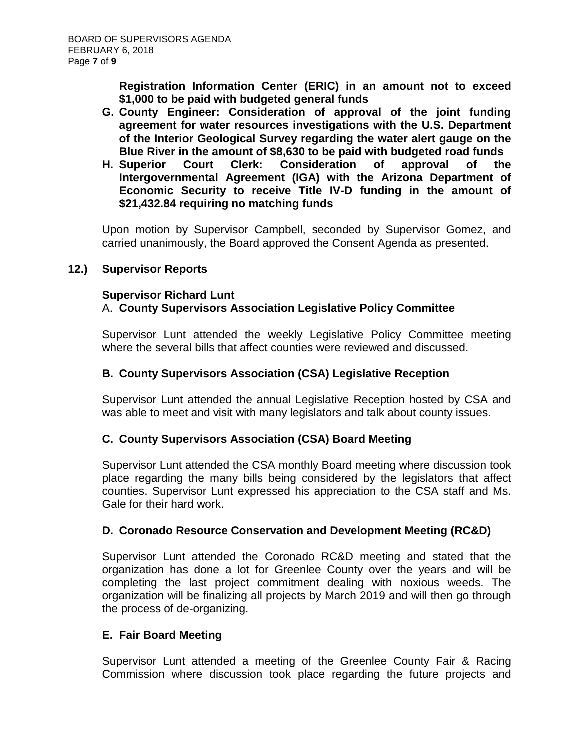**Registration Information Center (ERIC) in an amount not to exceed \$1,000 to be paid with budgeted general funds**

- **G. County Engineer: Consideration of approval of the joint funding agreement for water resources investigations with the U.S. Department of the Interior Geological Survey regarding the water alert gauge on the Blue River in the amount of \$8,630 to be paid with budgeted road funds**
- **H. Superior Court Clerk: Consideration of approval of the Intergovernmental Agreement (IGA) with the Arizona Department of Economic Security to receive Title IV-D funding in the amount of \$21,432.84 requiring no matching funds**

Upon motion by Supervisor Campbell, seconded by Supervisor Gomez, and carried unanimously, the Board approved the Consent Agenda as presented.

### **12.) Supervisor Reports**

### **Supervisor Richard Lunt**

# A. **County Supervisors Association Legislative Policy Committee**

Supervisor Lunt attended the weekly Legislative Policy Committee meeting where the several bills that affect counties were reviewed and discussed.

### **B. County Supervisors Association (CSA) Legislative Reception**

Supervisor Lunt attended the annual Legislative Reception hosted by CSA and was able to meet and visit with many legislators and talk about county issues.

### **C. County Supervisors Association (CSA) Board Meeting**

Supervisor Lunt attended the CSA monthly Board meeting where discussion took place regarding the many bills being considered by the legislators that affect counties. Supervisor Lunt expressed his appreciation to the CSA staff and Ms. Gale for their hard work.

### **D. Coronado Resource Conservation and Development Meeting (RC&D)**

Supervisor Lunt attended the Coronado RC&D meeting and stated that the organization has done a lot for Greenlee County over the years and will be completing the last project commitment dealing with noxious weeds. The organization will be finalizing all projects by March 2019 and will then go through the process of de-organizing.

### **E. Fair Board Meeting**

Supervisor Lunt attended a meeting of the Greenlee County Fair & Racing Commission where discussion took place regarding the future projects and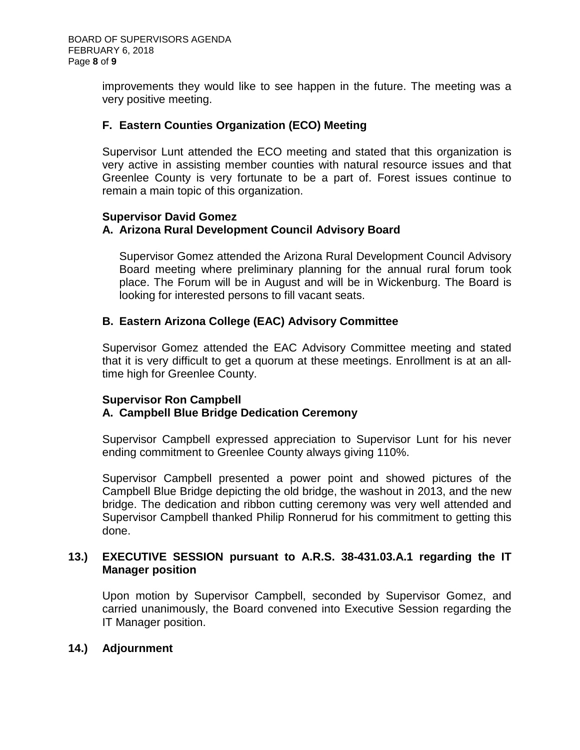improvements they would like to see happen in the future. The meeting was a very positive meeting.

### **F. Eastern Counties Organization (ECO) Meeting**

Supervisor Lunt attended the ECO meeting and stated that this organization is very active in assisting member counties with natural resource issues and that Greenlee County is very fortunate to be a part of. Forest issues continue to remain a main topic of this organization.

#### **Supervisor David Gomez**

### **A. Arizona Rural Development Council Advisory Board**

Supervisor Gomez attended the Arizona Rural Development Council Advisory Board meeting where preliminary planning for the annual rural forum took place. The Forum will be in August and will be in Wickenburg. The Board is looking for interested persons to fill vacant seats.

### **B. Eastern Arizona College (EAC) Advisory Committee**

Supervisor Gomez attended the EAC Advisory Committee meeting and stated that it is very difficult to get a quorum at these meetings. Enrollment is at an alltime high for Greenlee County.

### **Supervisor Ron Campbell A. Campbell Blue Bridge Dedication Ceremony**

Supervisor Campbell expressed appreciation to Supervisor Lunt for his never ending commitment to Greenlee County always giving 110%.

Supervisor Campbell presented a power point and showed pictures of the Campbell Blue Bridge depicting the old bridge, the washout in 2013, and the new bridge. The dedication and ribbon cutting ceremony was very well attended and Supervisor Campbell thanked Philip Ronnerud for his commitment to getting this done.

### **13.) EXECUTIVE SESSION pursuant to A.R.S. 38-431.03.A.1 regarding the IT Manager position**

Upon motion by Supervisor Campbell, seconded by Supervisor Gomez, and carried unanimously, the Board convened into Executive Session regarding the IT Manager position.

### **14.) Adjournment**